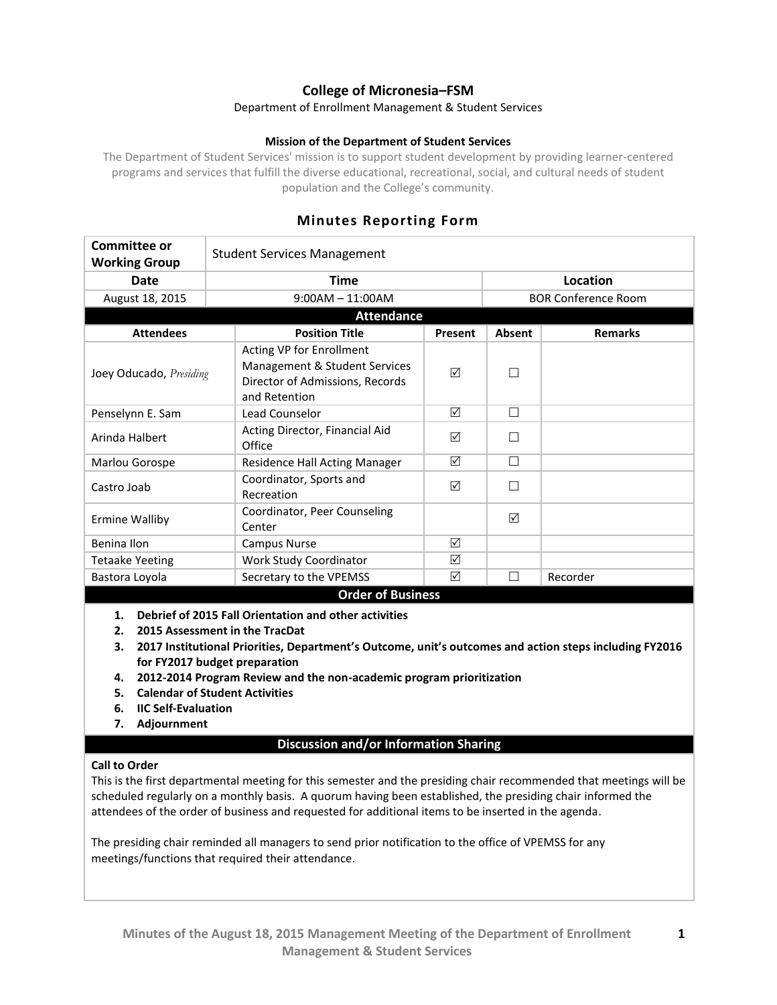# **College of Micronesia–FSM**

#### Department of Enrollment Management & Student Services

### **Mission of the Department of Student Services**

The Department of Student Services' mission is to support student development by providing learner-centered programs and services that fulfill the diverse educational, recreational, social, and cultural needs of student population and the College's community.

| <b>Committee or</b>     |                                                                                                               |         |               |                            |
|-------------------------|---------------------------------------------------------------------------------------------------------------|---------|---------------|----------------------------|
| <b>Working Group</b>    | <b>Student Services Management</b>                                                                            |         |               |                            |
| Date                    | <b>Time</b>                                                                                                   |         |               | Location                   |
| August 18, 2015         | $9:00AM - 11:00AM$                                                                                            |         |               | <b>BOR Conference Room</b> |
| <b>Attendance</b>       |                                                                                                               |         |               |                            |
| <b>Attendees</b>        | <b>Position Title</b>                                                                                         | Present | <b>Absent</b> | <b>Remarks</b>             |
| Joey Oducado, Presiding | Acting VP for Enrollment<br>Management & Student Services<br>Director of Admissions, Records<br>and Retention | ☑       |               |                            |
| Penselynn E. Sam        | Lead Counselor                                                                                                | ☑       | $\Box$        |                            |
| Arinda Halbert          | Acting Director, Financial Aid<br>Office                                                                      | ☑       |               |                            |
| Marlou Gorospe          | Residence Hall Acting Manager                                                                                 | ☑       | $\Box$        |                            |
| Castro Joab             | Coordinator, Sports and<br>Recreation                                                                         | ☑       |               |                            |
| <b>Ermine Walliby</b>   | Coordinator, Peer Counseling<br>Center                                                                        |         | ⊠             |                            |
| Benina Ilon             | Campus Nurse                                                                                                  | ☑       |               |                            |
| <b>Tetaake Yeeting</b>  | Work Study Coordinator                                                                                        | ☑       |               |                            |
| Bastora Loyola          | Secretary to the VPEMSS                                                                                       | ☑       |               | Recorder                   |
|                         | <b>Order of Business</b>                                                                                      |         |               |                            |

## **Minutes Reporting Form**

- **1. Debrief of 2015 Fall Orientation and other activities**
- **2. 2015 Assessment in the TracDat**

**3. 2017 Institutional Priorities, Department's Outcome, unit's outcomes and action steps including FY2016 for FY2017 budget preparation**

- **4. 2012-2014 Program Review and the non-academic program prioritization**
- **5. Calendar of Student Activities**
- **6. IIC Self-Evaluation**
- **7. Adjournment**

### **Discussion and/or Information Sharing**

#### **Call to Order**

This is the first departmental meeting for this semester and the presiding chair recommended that meetings will be scheduled regularly on a monthly basis. A quorum having been established, the presiding chair informed the attendees of the order of business and requested for additional items to be inserted in the agenda.

The presiding chair reminded all managers to send prior notification to the office of VPEMSS for any meetings/functions that required their attendance.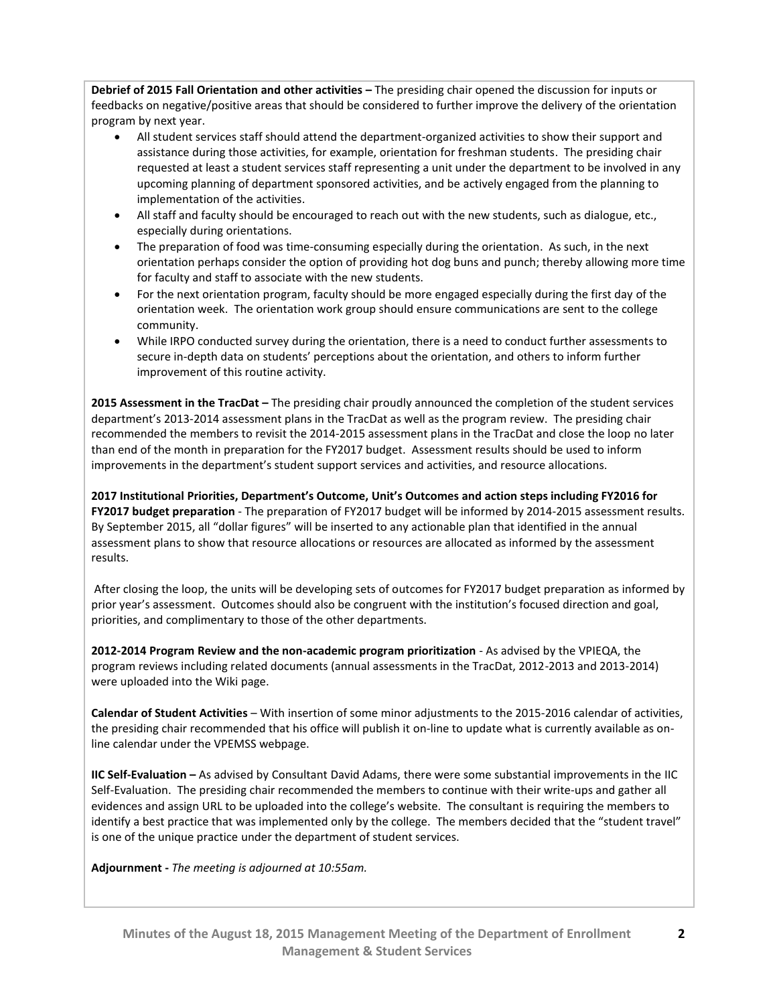**Debrief of 2015 Fall Orientation and other activities –** The presiding chair opened the discussion for inputs or feedbacks on negative/positive areas that should be considered to further improve the delivery of the orientation program by next year.

- All student services staff should attend the department-organized activities to show their support and assistance during those activities, for example, orientation for freshman students. The presiding chair requested at least a student services staff representing a unit under the department to be involved in any upcoming planning of department sponsored activities, and be actively engaged from the planning to implementation of the activities.
- All staff and faculty should be encouraged to reach out with the new students, such as dialogue, etc., especially during orientations.
- The preparation of food was time-consuming especially during the orientation. As such, in the next orientation perhaps consider the option of providing hot dog buns and punch; thereby allowing more time for faculty and staff to associate with the new students.
- For the next orientation program, faculty should be more engaged especially during the first day of the orientation week. The orientation work group should ensure communications are sent to the college community.
- While IRPO conducted survey during the orientation, there is a need to conduct further assessments to secure in-depth data on students' perceptions about the orientation, and others to inform further improvement of this routine activity.

**2015 Assessment in the TracDat –** The presiding chair proudly announced the completion of the student services department's 2013-2014 assessment plans in the TracDat as well as the program review. The presiding chair recommended the members to revisit the 2014-2015 assessment plans in the TracDat and close the loop no later than end of the month in preparation for the FY2017 budget. Assessment results should be used to inform improvements in the department's student support services and activities, and resource allocations.

**2017 Institutional Priorities, Department's Outcome, Unit's Outcomes and action steps including FY2016 for FY2017 budget preparation** - The preparation of FY2017 budget will be informed by 2014-2015 assessment results. By September 2015, all "dollar figures" will be inserted to any actionable plan that identified in the annual assessment plans to show that resource allocations or resources are allocated as informed by the assessment results.

After closing the loop, the units will be developing sets of outcomes for FY2017 budget preparation as informed by prior year's assessment. Outcomes should also be congruent with the institution's focused direction and goal, priorities, and complimentary to those of the other departments.

**2012-2014 Program Review and the non-academic program prioritization** - As advised by the VPIEQA, the program reviews including related documents (annual assessments in the TracDat, 2012-2013 and 2013-2014) were uploaded into the Wiki page.

**Calendar of Student Activities** – With insertion of some minor adjustments to the 2015-2016 calendar of activities, the presiding chair recommended that his office will publish it on-line to update what is currently available as online calendar under the VPEMSS webpage.

**IIC Self-Evaluation –** As advised by Consultant David Adams, there were some substantial improvements in the IIC Self-Evaluation. The presiding chair recommended the members to continue with their write-ups and gather all evidences and assign URL to be uploaded into the college's website. The consultant is requiring the members to identify a best practice that was implemented only by the college. The members decided that the "student travel" is one of the unique practice under the department of student services.

**Adjournment -** *The meeting is adjourned at 10:55am.*